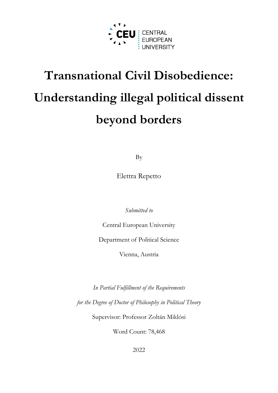

# **Transnational Civil Disobedience: Understanding illegal political dissent beyond borders**

By

Elettra Repetto

*Submitted to*

Central European University

Department of Political Science

Vienna, Austria

*In Partial Fulfillment of the Requirements for the Degree of Doctor of Philosophy in Political Theory*

Supervisor: Professor Zoltán Miklósi

Word Count: 78,468

2022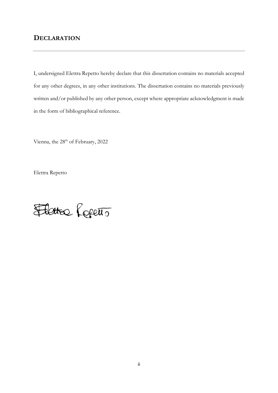# **DECLARATION**

I, undersigned Elettra Repetto hereby declare that this dissertation contains no materials accepted for any other degrees, in any other institutions. The dissertation contains no materials previously written and/or published by any other person, except where appropriate acknowledgment is made in the form of bibliographical reference.

Vienna, the 28<sup>th</sup> of February, 2022

Elettra Repetto

Flatter Referio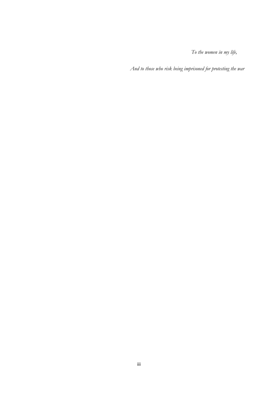*To the women in my life,*

*And to those who risk being imprisoned for protesting the war*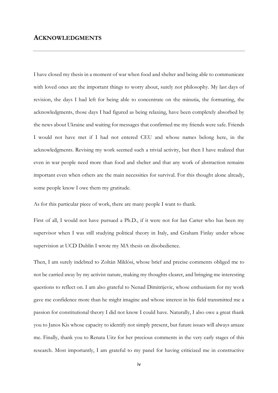### **ACKNOWLEDGMENTS**

I have closed my thesis in a moment of war when food and shelter and being able to communicate with loved ones are the important things to worry about, surely not philosophy. My last days of revision, the days I had left for being able to concentrate on the minutia, the formatting, the acknowledgments, those days I had figured as being relaxing, have been completely absorbed by the news about Ukraine and waiting for messages that confirmed me my friends were safe. Friends I would not have met if I had not entered CEU and whose names belong here, in the acknowledgments. Revising my work seemed such a trivial activity, but then I have realized that even in war people need more than food and shelter and that any work of abstraction remains important even when others are the main necessities for survival. For this thought alone already, some people know I owe them my gratitude.

As for this particular piece of work, there are many people I want to thank.

First of all, I would not have pursued a Ph.D., if it were not for Ian Carter who has been my supervisor when I was still studying political theory in Italy, and Graham Finlay under whose supervision at UCD Dublin I wrote my MA thesis on disobedience.

Then, I am surely indebted to Zoltán Miklósi, whose brief and precise comments obliged me to not be carried away by my activist nature, making my thoughts clearer, and bringing me interesting questions to reflect on. I am also grateful to Nenad Dimitrijevic, whose enthusiasm for my work gave me confidence more than he might imagine and whose interest in his field transmitted me a passion for constitutional theory I did not know I could have. Naturally, I also owe a great thank you to Janos Kis whose capacity to identify not simply present, but future issues will always amaze me. Finally, thank you to Renata Uitz for her precious comments in the very early stages of this research. Most importantly, I am grateful to my panel for having criticized me in constructive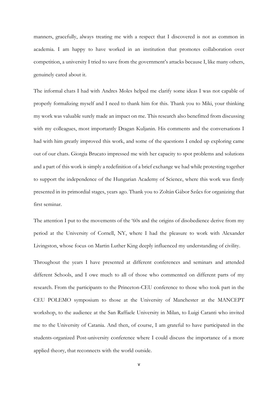manners, gracefully, always treating me with a respect that I discovered is not as common in academia. I am happy to have worked in an institution that promotes collaboration over competition, a university I tried to save from the government's attacks because I, like many others, genuinely cared about it.

The informal chats I had with Andres Moles helped me clarify some ideas I was not capable of properly formalizing myself and I need to thank him for this. Thank you to Miki, your thinking my work was valuable surely made an impact on me. This research also benefitted from discussing with my colleagues, most importantly Dragan Kuljanin. His comments and the conversations I had with him greatly improved this work, and some of the questions I ended up exploring came out of our chats. Giorgia Brucato impressed me with her capacity to spot problems and solutions and a part of this work is simply a redefinition of a brief exchange we had while protesting together to support the independence of the Hungarian Academy of Science, where this work was firstly presented in its primordial stages, years ago. Thank you to Zoltán Gábor Szűcs for organizing that first seminar.

The attention I put to the movements of the '60s and the origins of disobedience derive from my period at the University of Cornell, NY, where I had the pleasure to work with Alexander Livingston, whose focus on Martin Luther King deeply influenced my understanding of civility.

Throughout the years I have presented at different conferences and seminars and attended different Schools, and I owe much to all of those who commented on different parts of my research. From the participants to the Princeton-CEU conference to those who took part in the CEU POLEMO symposium to those at the University of Manchester at the MANCEPT workshop, to the audience at the San Raffaele University in Milan, to Luigi Caranti who invited me to the University of Catania. And then, of course, I am grateful to have participated in the students-organized Post-university conference where I could discuss the importance of a more applied theory, that reconnects with the world outside.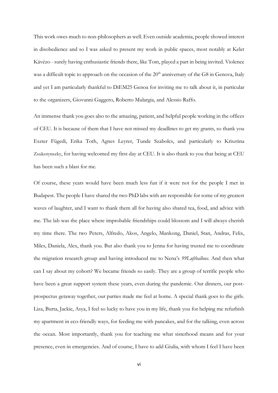This work owes much to non-philosophers as well. Even outside academia, people showed interest in disobedience and so I was asked to present my work in public spaces, most notably at Kelet Kávézo - surely having enthusiastic friends there, like Tom, played a part in being invited. Violence was a difficult topic to approach on the occasion of the  $20<sup>th</sup>$  anniversary of the G8 in Genova, Italy and yet I am particularly thankful to DiEM25 Genoa for inviting me to talk about it, in particular to the organizers, Giovanni Gaggero, Roberto Mulargia, and Alessio Raffo.

An immense thank you goes also to the amazing, patient, and helpful people working in the offices of CEU. It is because of them that I have not missed my deadlines to get my grants, so thank you Eszter Fügedi, Erika Toth, Agnes Leyrer, Tunde Szabolcs, and particularly to Krisztina Zsukotynszky, for having welcomed my first day at CEU. It is also thank to you that being at CEU has been such a blast for me.

Of course, these years would have been much less fun if it were not for the people I met in Budapest. The people I have shared the two PhD labs with are responsible for some of my greatest waves of laughter, and I want to thank them all for having also shared tea, food, and advice with me. The lab was the place where improbable friendships could blossom and I will always cherish my time there. The two Peters, Alfredo, Akos, Angelo, Mankong, Daniel, Stan, Andras, Felix, Miles, Daniela, Alex, thank you. But also thank you to Jenna for having trusted me to coordinate the migration research group and having introduced me to Nena's *99Luftballons.* And then what can I say about my cohort? We became friends so easily. They are a group of terrific people who have been a great support system these years, even during the pandemic. Our dinners, our postprospectus getaway together, our parties made me feel at home. A special thank goes to the girls. Liza, Burta, Jackie, Asya, I feel so lucky to have you in my life, thank you for helping me refurbish my apartment in eco-friendly ways, for feeding me with pancakes, and for the talking, even across the ocean. Most importantly, thank you for teaching me what sisterhood means and for your presence, even in emergencies. And of course, I have to add Giulia, with whom I feel I have been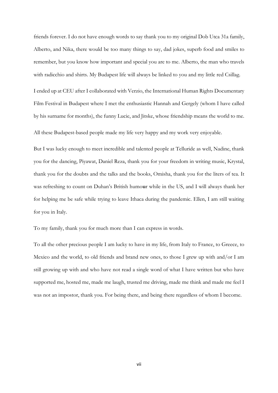friends forever. I do not have enough words to say thank you to my original Dob Utca 31a family, Alberto, and Nika, there would be too many things to say, dad jokes, superb food and smiles to remember, but you know how important and special you are to me. Alberto, the man who travels with radicchio and shirts. My Budapest life will always be linked to you and my little red Csillag.

I ended up at CEU after I collaborated with Verzio, the International Human Rights Documentary Film Festival in Budapest where I met the enthusiastic Hannah and Gergely (whom I have called by his surname for months), the funny Lucie, and Jitske, whose friendship means the world to me.

All these Budapest-based people made my life very happy and my work very enjoyable.

But I was lucky enough to meet incredible and talented people at Telluride as well, Nadine, thank you for the dancing, Piyawat, Daniel Reza, thank you for your freedom in writing music, Krystal, thank you for the doubts and the talks and the books, Omisha, thank you for the liters of tea. It was refreshing to count on Duhan's British humo**u**r while in the US, and I will always thank her for helping me be safe while trying to leave Ithaca during the pandemic. Ellen, I am still waiting for you in Italy.

To my family, thank you for much more than I can express in words.

To all the other precious people I am lucky to have in my life, from Italy to France, to Greece, to Mexico and the world, to old friends and brand new ones, to those I grew up with and/or I am still growing up with and who have not read a single word of what I have written but who have supported me, hosted me, made me laugh, trusted me driving, made me think and made me feel I was not an impostor, thank you. For being there, and being there regardless of whom I become.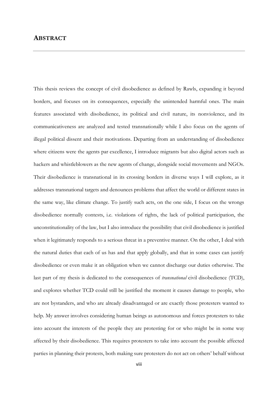This thesis reviews the concept of civil disobedience as defined by Rawls, expanding it beyond borders, and focuses on its consequences, especially the unintended harmful ones. The main features associated with disobedience, its political and civil nature, its nonviolence, and its communicativeness are analyzed and tested transnationally while I also focus on the agents of illegal political dissent and their motivations. Departing from an understanding of disobedience where citizens were the agents par excellence, I introduce migrants but also digital actors such as hackers and whistleblowers as the new agents of change, alongside social movements and NGOs. Their disobedience is transnational in its crossing borders in diverse ways I will explore, as it addresses transnational targets and denounces problems that affect the world or different states in the same way, like climate change. To justify such acts, on the one side, I focus on the wrongs disobedience normally contests, i.e. violations of rights, the lack of political participation, the unconstitutionality of the law, but I also introduce the possibility that civil disobedience is justified when it legitimately responds to a serious threat in a preventive manner. On the other, I deal with the natural duties that each of us has and that apply globally, and that in some cases can justify disobedience or even make it an obligation when we cannot discharge our duties otherwise. The last part of my thesis is dedicated to the consequences of *transnational* civil disobedience (TCD), and explores whether TCD could still be justified the moment it causes damage to people, who are not bystanders, and who are already disadvantaged or are exactly those protesters wanted to help. My answer involves considering human beings as autonomous and forces protesters to take into account the interests of the people they are protesting for or who might be in some way affected by their disobedience. This requires protesters to take into account the possible affected parties in planning their protests, both making sure protesters do not act on others' behalf without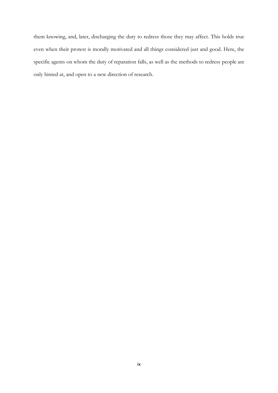them knowing, and, later, discharging the duty to redress those they may affect. This holds true even when their protest is morally motivated and all things considered just and good. Here, the specific agents on whom the duty of reparation falls, as well as the methods to redress people are only hinted at, and open to a new direction of research.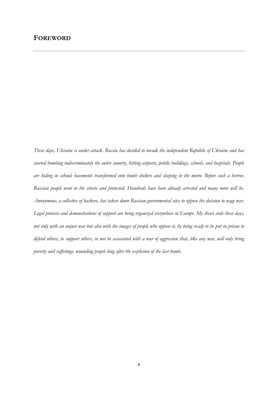*These days, Ukraine is under attack. Russia has decided to invade the independent Republic of Ukraine and has started bombing indiscriminately the entire country, hitting airports, public buildings, schools, and hospitals. People are hiding in schools basements transformed into bomb shelters and sleeping in the metro. Before such a horror, Russian people went to the streets and protested. Hundreds have been already arrested and many more will be. Anonymous, a collective of hackers, has taken down Russian governmental sites to oppose the decision to wage war. Legal protests and demonstrations of support are being organized everywhere in Europe. My thesis ends these days, not only with an unjust war but also with the images of people who oppose it, by being ready to be put in prison to defend others, to support others, to not be associated with a war of aggression that, like any war, will only bring poverty and sufferings, wounding people long after the explosion of the last bomb.*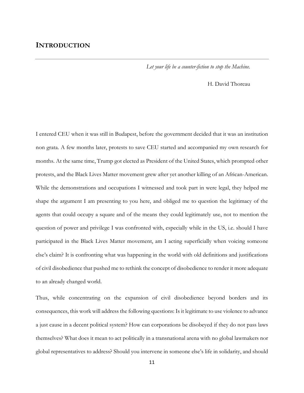## **INTRODUCTION**

*Let your life be a counter-fiction to stop the Machine.* 

#### H. David Thoreau

I entered CEU when it was still in Budapest, before the government decided that it was an institution non grata. A few months later, protests to save CEU started and accompanied my own research for months. At the same time, Trump got elected as President of the United States, which prompted other protests, and the Black Lives Matter movement grew after yet another killing of an African-American. While the demonstrations and occupations I witnessed and took part in were legal, they helped me shape the argument I am presenting to you here, and obliged me to question the legitimacy of the agents that could occupy a square and of the means they could legitimately use, not to mention the question of power and privilege I was confronted with, especially while in the US, i.e. should I have participated in the Black Lives Matter movement, am I acting superficially when voicing someone else's claim? It is confronting what was happening in the world with old definitions and justifications of civil disobedience that pushed me to rethink the concept of disobedience to render it more adequate to an already changed world.

Thus, while concentrating on the expansion of civil disobedience beyond borders and its consequences, this work will address the following questions: Is it legitimate to use violence to advance a just cause in a decent political system? How can corporations be disobeyed if they do not pass laws themselves? What does it mean to act politically in a transnational arena with no global lawmakers nor global representatives to address? Should you intervene in someone else's life in solidarity, and should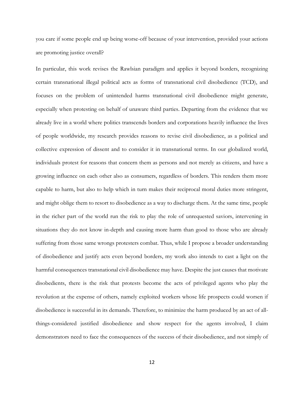you care if some people end up being worse-off because of your intervention, provided your actions are promoting justice overall?

In particular, this work revises the Rawlsian paradigm and applies it beyond borders, recognizing certain transnational illegal political acts as forms of transnational civil disobedience (TCD), and focuses on the problem of unintended harms transnational civil disobedience might generate, especially when protesting on behalf of unaware third parties. Departing from the evidence that we already live in a world where politics transcends borders and corporations heavily influence the lives of people worldwide, my research provides reasons to revise civil disobedience, as a political and collective expression of dissent and to consider it in transnational terms. In our globalized world, individuals protest for reasons that concern them as persons and not merely as citizens, and have a growing influence on each other also as consumers, regardless of borders. This renders them more capable to harm, but also to help which in turn makes their reciprocal moral duties more stringent, and might oblige them to resort to disobedience as a way to discharge them. At the same time, people in the richer part of the world run the risk to play the role of unrequested saviors, intervening in situations they do not know in-depth and causing more harm than good to those who are already suffering from those same wrongs protesters combat. Thus, while I propose a broader understanding of disobedience and justify acts even beyond borders, my work also intends to cast a light on the harmful consequences transnational civil disobedience may have. Despite the just causes that motivate disobedients, there is the risk that protests become the acts of privileged agents who play the revolution at the expense of others, namely exploited workers whose life prospects could worsen if disobedience is successful in its demands. Therefore, to minimize the harm produced by an act of allthings-considered justified disobedience and show respect for the agents involved, I claim demonstrators need to face the consequences of the success of their disobedience, and not simply of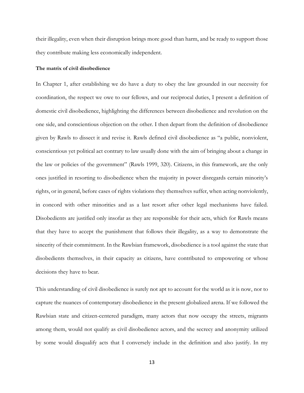their illegality, even when their disruption brings more good than harm, and be ready to support those they contribute making less economically independent.

#### **The matrix of civil disobedience**

In Chapter 1, after establishing we do have a duty to obey the law grounded in our necessity for coordination, the respect we owe to our fellows, and our reciprocal duties, I present a definition of domestic civil disobedience, highlighting the differences between disobedience and revolution on the one side, and conscientious objection on the other. I then depart from the definition of disobedience given by Rawls to dissect it and revise it. Rawls defined civil disobedience as "a public, nonviolent, conscientious yet political act contrary to law usually done with the aim of bringing about a change in the law or policies of the government" (Rawls 1999, 320). Citizens, in this framework, are the only ones justified in resorting to disobedience when the majority in power disregards certain minority's rights, or in general, before cases of rights violations they themselves suffer, when acting nonviolently, in concord with other minorities and as a last resort after other legal mechanisms have failed. Disobedients are justified only insofar as they are responsible for their acts, which for Rawls means that they have to accept the punishment that follows their illegality, as a way to demonstrate the sincerity of their commitment. In the Rawlsian framework, disobedience is a tool against the state that disobedients themselves, in their capacity as citizens, have contributed to empowering or whose decisions they have to bear.

This understanding of civil disobedience is surely not apt to account for the world as it is now, nor to capture the nuances of contemporary disobedience in the present globalized arena. If we followed the Rawlsian state and citizen-centered paradigm, many actors that now occupy the streets, migrants among them, would not qualify as civil disobedience actors, and the secrecy and anonymity utilized by some would disqualify acts that I conversely include in the definition and also justify. In my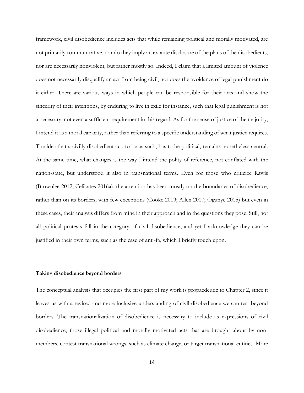framework, civil disobedience includes acts that while remaining political and morally motivated, are not primarily communicative, nor do they imply an ex-ante disclosure of the plans of the disobedients, nor are necessarily nonviolent, but rather mostly so. Indeed, I claim that a limited amount of violence does not necessarily disqualify an act from being civil, nor does the avoidance of legal punishment do it either. There are various ways in which people can be responsible for their acts and show the sincerity of their intentions, by enduring to live in exile for instance, such that legal punishment is not a necessary, not even a sufficient requirement in this regard. As for the sense of justice of the majority, I intend it as a moral capacity, rather than referring to a specific understanding of what justice requires. The idea that a civilly disobedient act, to be as such, has to be political, remains nonetheless central. At the same time, what changes is the way I intend the polity of reference, not conflated with the nation-state, but understood it also in transnational terms. Even for those who criticize Rawls (Brownlee 2012; Celikates 2016a), the attention has been mostly on the boundaries of disobedience, rather than on its borders, with few exceptions (Cooke 2019; Allen 2017; Ogunye 2015) but even in these cases, their analysis differs from mine in their approach and in the questions they pose. Still, not all political protests fall in the category of civil disobedience, and yet I acknowledge they can be justified in their own terms, such as the case of anti-fa, which I briefly touch upon.

#### **Taking disobedience beyond borders**

The conceptual analysis that occupies the first part of my work is propaedeutic to Chapter 2, since it leaves us with a revised and more inclusive understanding of civil disobedience we can test beyond borders. The transnationalization of disobedience is necessary to include as expressions of civil disobedience, those illegal political and morally motivated acts that are brought about by nonmembers, contest transnational wrongs, such as climate change, or target transnational entities. More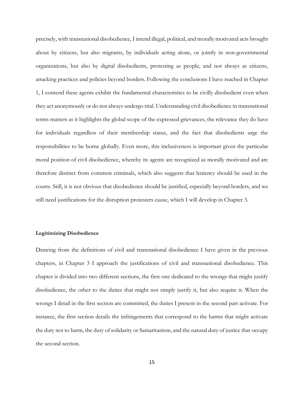precisely, with transnational disobedience, I intend illegal, political, and morally motivated acts brought about by citizens, but also migrants, by individuals acting alone, or jointly in non-governmental organizations, but also by digital disobedients, protesting as people, and not always as citizens, attacking practices and policies beyond borders. Following the conclusions I have reached in Chapter 1, I contend these agents exhibit the fundamental characteristics to be civilly disobedient even when they act anonymously or do not always undergo trial. Understanding civil disobedience in transnational terms matters as it highlights the global scope of the expressed grievances, the relevance they do have for individuals regardless of their membership status, and the fact that disobedients urge the responsibilities to be borne globally. Even more, this inclusiveness is important given the particular moral position of civil disobedience, whereby its agents are recognized as morally motivated and are therefore distinct from common criminals, which also suggests that leniency should be used in the courts. Still, it is not obvious that disobedience should be justified, especially beyond borders, and we still need justifications for the disruption protesters cause, which I will develop in Chapter 3.

#### **Legitimizing Disobedience**

Drawing from the definitions of civil and transnational disobedience I have given in the previous chapters, in Chapter 3 I approach the justifications of civil and transnational disobedience. This chapter is divided into two different sections, the first one dedicated to the wrongs that might justify disobedience, the other to the duties that might not simply justify it, but also require it. When the wrongs I detail in the first section are committed, the duties I present in the second part activate. For instance, the first section details the infringements that correspond to the harms that might activate the duty not to harm, the duty of solidarity or Samaritanism, and the natural duty of justice that occupy the second section.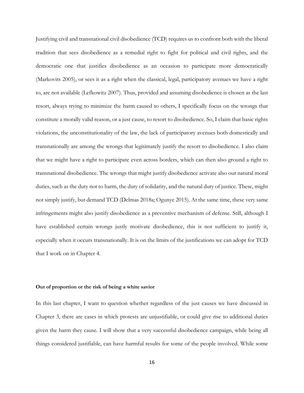Justifying civil and transnational civil disobedience (TCD) requires us to confront both with the liberal tradition that sees disobedience as a remedial right to fight for political and civil rights, and the democratic one that justifies disobedience as an occasion to participate more democratically (Markovits 2005), or sees it as a right when the classical, legal, participatory avenues we have a right to, are not available (Lefkowitz 2007). Thus, provided and assuming disobedience is chosen as the last resort, always trying to minimize the harm caused to others, I specifically focus on the wrongs that constitute a morally valid reason, or a just cause, to resort to disobedience. So, I claim that basic rights violations, the unconstitutionality of the law, the lack of participatory avenues both domestically and transnationally are among the wrongs that legitimately justify the resort to disobedience. I also claim that we might have a right to participate even across borders, which can then also ground a right to transnational disobedience. The wrongs that might justify disobedience activate also our natural moral duties, such as the duty not to harm, the duty of solidarity, and the natural duty of justice. These, might not simply justify, but demand TCD (Delmas 2018a; Ogunye 2015). At the same time, these very same infringements might also justify disobedience as a preventive mechanism of defense. Still, although I have established certain wrongs justly motivate disobedience, this is not sufficient to justify it, especially when it occurs transnationally. It is on the limits of the justifications we can adopt for TCD that I work on in Chapter 4.

#### **Out of proportion or the risk of being a white savior**

In this last chapter, I want to question whether regardless of the just causes we have discussed in Chapter 3, there are cases in which protests are unjustifiable, or could give rise to additional duties given the harm they cause. I will show that a very successful disobedience campaign, while being all things considered justifiable, can have harmful results for some of the people involved. While some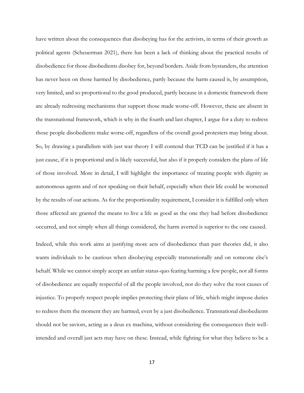have written about the consequences that disobeying has for the activists, in terms of their growth as political agents (Scheuerman 2021), there has been a lack of thinking about the practical results of disobedience for those disobedients disobey for, beyond borders. Aside from bystanders, the attention has never been on those harmed by disobedience, partly because the harm caused is, by assumption, very limited, and so proportional to the good produced, partly because in a domestic framework there are already redressing mechanisms that support those made worse-off. However, these are absent in the transnational framework, which is why in the fourth and last chapter, I argue for a duty to redress those people disobedients make worse-off, regardless of the overall good protesters may bring about. So, by drawing a parallelism with just war theory I will contend that TCD can be justified if it has a just cause, if it is proportional and is likely successful, but also if it properly considers the plans of life of those involved. More in detail, I will highlight the importance of treating people with dignity as autonomous agents and of not speaking on their behalf, especially when their life could be worsened by the results of our actions. As for the proportionality requirement, I consider it is fulfilled only when those affected are granted the means to live a life as good as the one they had before disobedience occurred, and not simply when all things considered, the harm averted is superior to the one caused.

Indeed, while this work aims at justifying more acts of disobedience than past theories did, it also wants individuals to be cautious when disobeying especially transnationally and on someone else's behalf. While we cannot simply accept an unfair status-quo fearing harming a few people, not all forms of disobedience are equally respectful of all the people involved, nor do they solve the root causes of injustice. To properly respect people implies protecting their plans of life, which might impose duties to redress them the moment they are harmed, even by a just disobedience. Transnational disobedients should not be saviors, acting as a deus ex machina, without considering the consequences their wellintended and overall just acts may have on these. Instead, while fighting for what they believe to be a